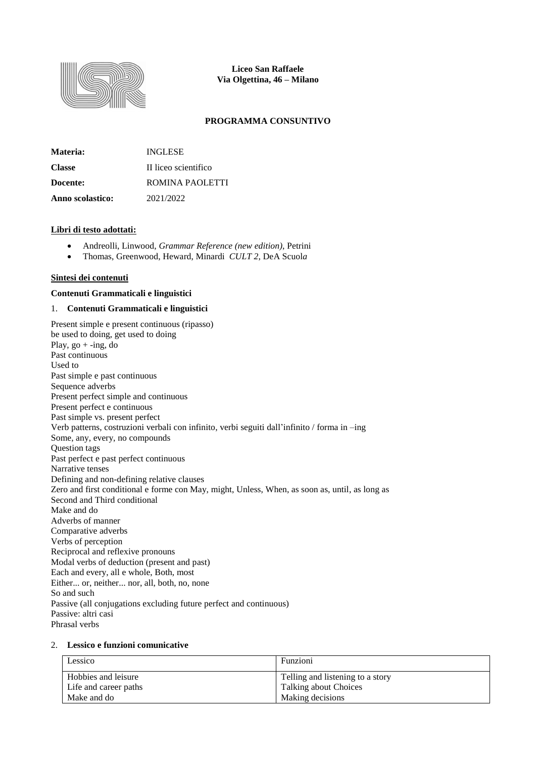

**Liceo San Raffaele Via Olgettina, 46 – Milano**

## **PROGRAMMA CONSUNTIVO**

| Materia:         | <b>INGLESE</b>       |
|------------------|----------------------|
| <b>Classe</b>    | II liceo scientifico |
| Docente:         | ROMINA PAOLETTI      |
| Anno scolastico: | 2021/2022            |

#### **Libri di testo adottati:**

- Andreolli, Linwood, *Grammar Reference (new edition)*, Petrini
- Thomas, Greenwood, Heward, Minardi *CULT 2*, DeA Scuol*a*

#### **Sintesi dei contenuti**

#### **Contenuti Grammaticali e linguistici**

## 1. **Contenuti Grammaticali e linguistici**

Present simple e present continuous (ripasso) be used to doing, get used to doing Play,  $go + -ing$ , do Past continuous Used to Past simple e past continuous Sequence adverbs Present perfect simple and continuous Present perfect e continuous Past simple vs. present perfect Verb patterns, costruzioni verbali con infinito, verbi seguiti dall'infinito / forma in –ing Some, any, every, no compounds Question tags Past perfect e past perfect continuous Narrative tenses Defining and non-defining relative clauses Zero and first conditional e forme con May, might, Unless, When, as soon as, until, as long as Second and Third conditional Make and do Adverbs of manner Comparative adverbs Verbs of perception Reciprocal and reflexive pronouns Modal verbs of deduction (present and past) Each and every, all e whole, Both, most Either... or, neither... nor, all, both, no, none So and such Passive (all conjugations excluding future perfect and continuous) Passive: altri casi Phrasal verbs

# 2. **Lessico e funzioni comunicative**

| Lessico               | Funzioni                         |
|-----------------------|----------------------------------|
| Hobbies and leisure   | Telling and listening to a story |
| Life and career paths | Talking about Choices            |
| Make and do           | Making decisions                 |